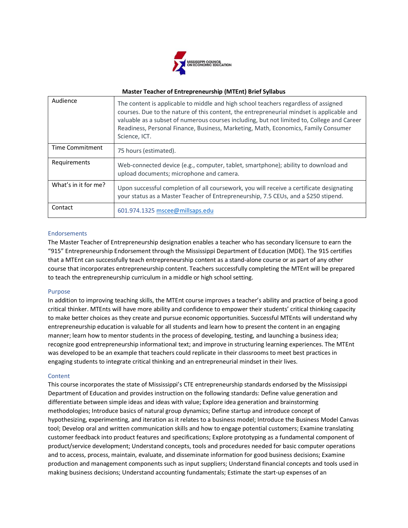

## **Master Teacher of Entrepreneurship (MTEnt) Brief Syllabus**

| Audience             | The content is applicable to middle and high school teachers regardless of assigned<br>courses. Due to the nature of this content, the entrepreneurial mindset is applicable and<br>valuable as a subset of numerous courses including, but not limited to, College and Career<br>Readiness, Personal Finance, Business, Marketing, Math, Economics, Family Consumer<br>Science, ICT. |
|----------------------|---------------------------------------------------------------------------------------------------------------------------------------------------------------------------------------------------------------------------------------------------------------------------------------------------------------------------------------------------------------------------------------|
| Time Commitment      | 75 hours (estimated).                                                                                                                                                                                                                                                                                                                                                                 |
| Requirements         | Web-connected device (e.g., computer, tablet, smartphone); ability to download and<br>upload documents; microphone and camera.                                                                                                                                                                                                                                                        |
| What's in it for me? | Upon successful completion of all coursework, you will receive a certificate designating<br>your status as a Master Teacher of Entrepreneurship, 7.5 CEUs, and a \$250 stipend.                                                                                                                                                                                                       |
| Contact              | 601.974.1325 mscee@millsaps.edu                                                                                                                                                                                                                                                                                                                                                       |

# Endorsements

The Master Teacher of Entrepreneurship designation enables a teacher who has secondary licensure to earn the "915" Entrepreneurship Endorsement through the Mississippi Department of Education (MDE). The 915 certifies that a MTEnt can successfully teach entrepreneurship content as a stand-alone course or as part of any other course that incorporates entrepreneurship content. Teachers successfully completing the MTEnt will be prepared to teach the entrepreneurship curriculum in a middle or high school setting.

### Purpose

In addition to improving teaching skills, the MTEnt course improves a teacher's ability and practice of being a good critical thinker. MTEnts will have more ability and confidence to empower their students' critical thinking capacity to make better choices as they create and pursue economic opportunities. Successful MTEnts will understand why entrepreneurship education is valuable for all students and learn how to present the content in an engaging manner; learn how to mentor students in the process of developing, testing, and launching a business idea; recognize good entrepreneurship informational text; and improve in structuring learning experiences. The MTEnt was developed to be an example that teachers could replicate in their classrooms to meet best practices in engaging students to integrate critical thinking and an entrepreneurial mindset in their lives.

### **Content**

This course incorporates the state of Mississippi's CTE entrepreneurship standards endorsed by the Mississippi Department of Education and provides instruction on the following standards: Define value generation and differentiate between simple ideas and ideas with value; Explore idea generation and brainstorming methodologies; Introduce basics of natural group dynamics; Define startup and introduce concept of hypothesizing, experimenting, and iteration as it relates to a business model; Introduce the Business Model Canvas tool; Develop oral and written communication skills and how to engage potential customers; Examine translating customer feedback into product features and specifications; Explore prototyping as a fundamental component of product/service development; Understand concepts, tools and procedures needed for basic computer operations and to access, process, maintain, evaluate, and disseminate information for good business decisions; Examine production and management components such as input suppliers; Understand financial concepts and tools used in making business decisions; Understand accounting fundamentals; Estimate the start-up expenses of an